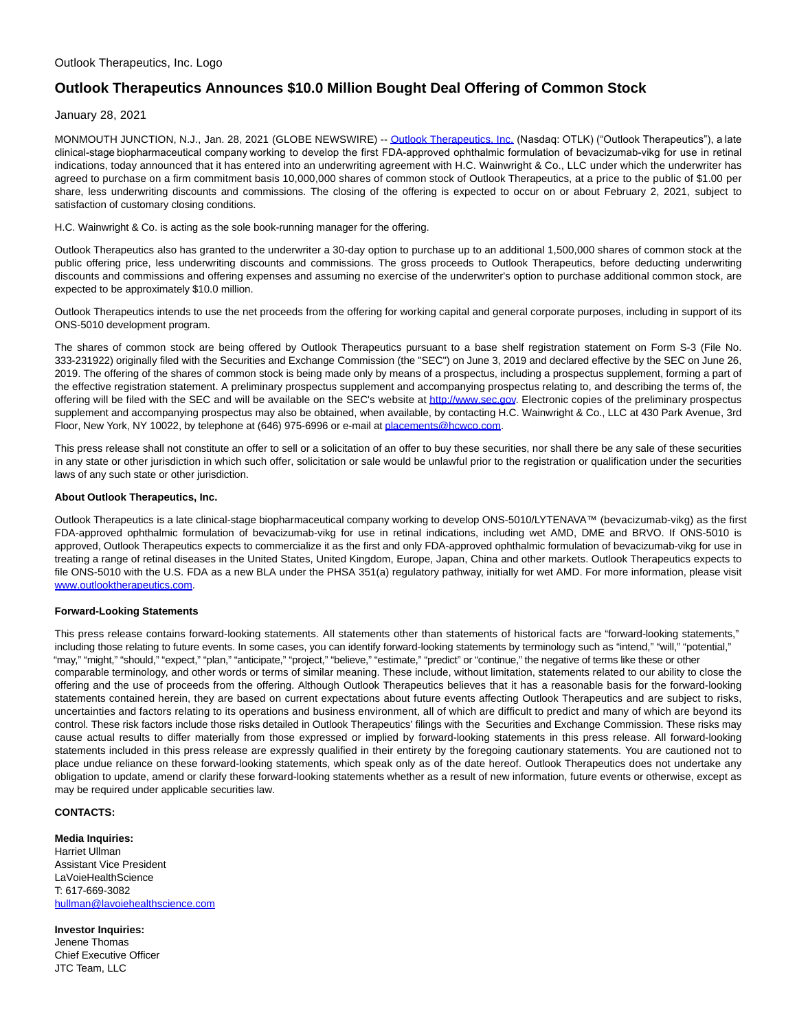# **Outlook Therapeutics Announces \$10.0 Million Bought Deal Offering of Common Stock**

January 28, 2021

MONMOUTH JUNCTION, N.J., Jan. 28, 2021 (GLOBE NEWSWIRE) -- [Outlook Therapeutics, Inc.](https://www.globenewswire.com/Tracker?data=880p2KuFJCxdlq4NFCMyX_If3VqjybPbuLKUK5yMifMuX4hXWhhqg9_yX_tqECjz0O-Xx3ZpwMdJW35W1dy99nHNjXfPALSz2JIu7TV-QU0=) (Nasdaq: OTLK) ("Outlook Therapeutics"), a late clinical-stage biopharmaceutical company working to develop the first FDA-approved ophthalmic formulation of bevacizumab-vikg for use in retinal indications, today announced that it has entered into an underwriting agreement with H.C. Wainwright & Co., LLC under which the underwriter has agreed to purchase on a firm commitment basis 10,000,000 shares of common stock of Outlook Therapeutics, at a price to the public of \$1.00 per share, less underwriting discounts and commissions. The closing of the offering is expected to occur on or about February 2, 2021, subject to satisfaction of customary closing conditions.

# H.C. Wainwright & Co. is acting as the sole book-running manager for the offering.

Outlook Therapeutics also has granted to the underwriter a 30-day option to purchase up to an additional 1,500,000 shares of common stock at the public offering price, less underwriting discounts and commissions. The gross proceeds to Outlook Therapeutics, before deducting underwriting discounts and commissions and offering expenses and assuming no exercise of the underwriter's option to purchase additional common stock, are expected to be approximately \$10.0 million.

Outlook Therapeutics intends to use the net proceeds from the offering for working capital and general corporate purposes, including in support of its ONS-5010 development program.

The shares of common stock are being offered by Outlook Therapeutics pursuant to a base shelf registration statement on Form S-3 (File No. 333-231922) originally filed with the Securities and Exchange Commission (the "SEC") on June 3, 2019 and declared effective by the SEC on June 26, 2019. The offering of the shares of common stock is being made only by means of a prospectus, including a prospectus supplement, forming a part of the effective registration statement. A preliminary prospectus supplement and accompanying prospectus relating to, and describing the terms of, the offering will be filed with the SEC and will be available on the SEC's website at [http://www.sec.gov.](http://www.sec.gov/) Electronic copies of the preliminary prospectus supplement and accompanying prospectus may also be obtained, when available, by contacting H.C. Wainwright & Co., LLC at 430 Park Avenue, 3rd Floor, New York, NY 10022, by telephone at (646) 975-6996 or e-mail at [placements@hcwco.com.](mailto:placements@hcwco.com)

This press release shall not constitute an offer to sell or a solicitation of an offer to buy these securities, nor shall there be any sale of these securities in any state or other jurisdiction in which such offer, solicitation or sale would be unlawful prior to the registration or qualification under the securities laws of any such state or other jurisdiction.

### **About Outlook Therapeutics, Inc.**

Outlook Therapeutics is a late clinical-stage biopharmaceutical company working to develop ONS-5010/LYTENAVA™ (bevacizumab-vikg) as the first FDA-approved ophthalmic formulation of bevacizumab-vikg for use in retinal indications, including wet AMD, DME and BRVO. If ONS-5010 is approved, Outlook Therapeutics expects to commercialize it as the first and only FDA-approved ophthalmic formulation of bevacizumab-vikg for use in treating a range of retinal diseases in the United States, United Kingdom, Europe, Japan, China and other markets. Outlook Therapeutics expects to file ONS-5010 with the U.S. FDA as a new BLA under the PHSA 351(a) regulatory pathway, initially for wet AMD. For more information, please visit [www.outlooktherapeutics.com.](http://www.outlooktherapeutics.com/)

#### **Forward-Looking Statements**

This press release contains forward-looking statements. All statements other than statements of historical facts are "forward-looking statements," including those relating to future events. In some cases, you can identify forward-looking statements by terminology such as "intend," "will," "potential," "may," "might," "should," "expect," "plan," "anticipate," "project," "believe," "estimate," "predict" or "continue," the negative of terms like these or other comparable terminology, and other words or terms of similar meaning. These include, without limitation, statements related to our ability to close the offering and the use of proceeds from the offering. Although Outlook Therapeutics believes that it has a reasonable basis for the forward-looking statements contained herein, they are based on current expectations about future events affecting Outlook Therapeutics and are subject to risks, uncertainties and factors relating to its operations and business environment, all of which are difficult to predict and many of which are beyond its control. These risk factors include those risks detailed in Outlook Therapeutics' filings with the Securities and Exchange Commission. These risks may cause actual results to differ materially from those expressed or implied by forward-looking statements in this press release. All forward-looking statements included in this press release are expressly qualified in their entirety by the foregoing cautionary statements. You are cautioned not to place undue reliance on these forward-looking statements, which speak only as of the date hereof. Outlook Therapeutics does not undertake any obligation to update, amend or clarify these forward-looking statements whether as a result of new information, future events or otherwise, except as may be required under applicable securities law.

# **CONTACTS:**

**Media Inquiries:** Harriet Ullman Assistant Vice President LaVoieHealthScience T: 617-669-3082 [hullman@lavoiehealthscience.com](https://www.globenewswire.com/Tracker?data=x6bNi7lx7gSlo5V0UXjNnDaH7R0x-WeIB3b9e9nLZUjFWwR2EX91oBwpydlI-xTj9dmTXJTdFKpBx4kSrgcPpaWXe4SJXr8Uodi-Al_kUFYCaUuBRYYXZKPRFJY5OMd6)

**Investor Inquiries:** Jenene Thomas Chief Executive Officer JTC Team, LLC